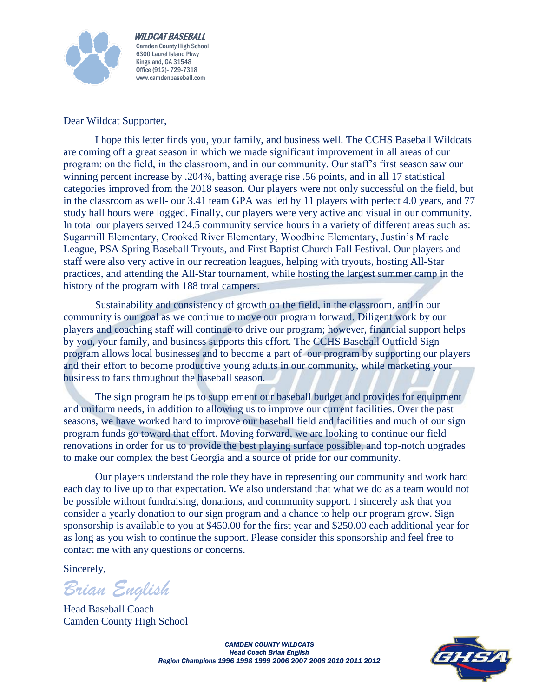

 WILDCAT BASEBALL Camden County High School 6300 Laurel Island Pkwy Kingsland, GA 31548 Office (912)- 729-7318 www.camdenbaseball.com

Dear Wildcat Supporter,

I hope this letter finds you, your family, and business well. The CCHS Baseball Wildcats are coming off a great season in which we made significant improvement in all areas of our program: on the field, in the classroom, and in our community. Our staff's first season saw our winning percent increase by .204%, batting average rise .56 points, and in all 17 statistical categories improved from the 2018 season. Our players were not only successful on the field, but in the classroom as well- our 3.41 team GPA was led by 11 players with perfect 4.0 years, and 77 study hall hours were logged. Finally, our players were very active and visual in our community. In total our players served 124.5 community service hours in a variety of different areas such as: Sugarmill Elementary, Crooked River Elementary, Woodbine Elementary, Justin's Miracle League, PSA Spring Baseball Tryouts, and First Baptist Church Fall Festival. Our players and staff were also very active in our recreation leagues, helping with tryouts, hosting All-Star practices, and attending the All-Star tournament, while hosting the largest summer camp in the history of the program with 188 total campers.

Sustainability and consistency of growth on the field, in the classroom, and in our community is our goal as we continue to move our program forward. Diligent work by our players and coaching staff will continue to drive our program; however, financial support helps by you, your family, and business supports this effort. The CCHS Baseball Outfield Sign program allows local businesses and to become a part of our program by supporting our players and their effort to become productive young adults in our community, while marketing your business to fans throughout the baseball season.

The sign program helps to supplement our baseball budget and provides for equipment and uniform needs, in addition to allowing us to improve our current facilities. Over the past seasons, we have worked hard to improve our baseball field and facilities and much of our sign program funds go toward that effort. Moving forward, we are looking to continue our field renovations in order for us to provide the best playing surface possible, and top-notch upgrades to make our complex the best Georgia and a source of pride for our community.

Our players understand the role they have in representing our community and work hard each day to live up to that expectation. We also understand that what we do as a team would not be possible without fundraising, donations, and community support. I sincerely ask that you consider a yearly donation to our sign program and a chance to help our program grow. Sign sponsorship is available to you at \$450.00 for the first year and \$250.00 each additional year for as long as you wish to continue the support. Please consider this sponsorship and feel free to contact me with any questions or concerns.

Sincerely,

*Brian English* 

Head Baseball Coach Camden County High School



*CAMDEN COUNTY WILDCATS Head Coach Brian English Region Champions 1996 1998 1999 2006 2007 2008 2010 2011 2012*